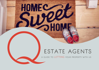# ESTATE AGENTS

HOMEC

**2000** 

A GUIDE TO LETTING YOUR PROPERTY WITH US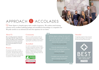# APPROACH & ACCOLADES

 Estate Agents is a bespoke agency with a wealth of experience. We combine award winning customer service, excellent marketing packages and unrivalled local knowledge at a competitive rate. We pride ourselves on an informed and stress free experience for our clients.

### About Us

We are a friendly and dynamic independent Estate Agency. We offer a range of services tailored to the different needs of landlords. The exceptional and trusted service we provide is demonstrated in the enduring relationships we've formed with landlords over the past fifteen years.

### Position

Our prominent, smart office on the busy Lewes Road is well positioned to market all our properties. The high footfall of the area ensures our properties reach a wider audience. Our extensive online presence guarantees that our properties are available nationwide.

### Community

We have an excellent reputation within our local community and are pleased to support the Rockinghorse Children's Charity as well as supporting the annual Hanover beer festival.

### Accredited

It is vital for our landlords to know that they have peace of mind when choosing us. We are accredited by NAEA, meaning we are a fully regulated letting agency, with client money protection. Being members of the Property Ombudsman means subscribing to their code of practice for lettings.



*Q Estate Agents really go the extra mile approach to all other agents we've used*  N and L Johnson, Landlords (2018)

*need to live happy!* N Di Matteo, Tenant (2019)

*I wouldn't trust any other estate agent to manage my portfolio.* Mr R Gorwyn, Landlord (2017)

### Awarded

Consistently recognised as being among the top 10% of Estate Agents in the country by the Best Estate Agent National Awards.

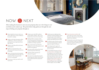

After making the decision to rent out your property, there are a few things to sort out before you're ready to go. The points below help guide you through the next steps of letting your property through us.

- Inform Q which service you wish to use, and we will send you a Terms of Business by email for e-signing.
- Notify us of the date the property will be available from. *We advise marketing the property from between eight and six weeks before this date.*
- Provide us with Photo ID for all owners of the property.
- Provide a set of property keys to the office and provide any special instructions for viewings.
- Agree a convenient time for the property to be photographed and a floor-plan to be carried out. *Ensure the property looks its best for the photographs.*
- If necessary, re-direct your mail to avoid any lost post.
- **P** Provide an up to date EPC certificate and Gas Safety certificate. These can be booked in by us if you do not have them.
- Viewings will now commence, with a 24 hours notice period if the property is occupied. Feedback from viewings will be provided by our lettings negotiators.
- O Once a tenant wants to put down the holding fee to reserve the property, we will contact you for approval.
- The tenants will be referenced and credit checked using Vouch referencing.
- Guarantors will be requested and referenced if required.
- On receipt of successful referencing, the tenancy agreement will be written up and move in paperwork will be prepared for e-signing.
- Q will arrange any additional safety certification required. Q will also, where instructed, carry out the schedule of condition of the property and arrange a property clean before the move in date.
- Q will take receipt of the first months rent and the damage deposit. We will register the deposit at this point.
- O Once all paperwork is signed and approved we will hand the keys over to your new tenants.
- For any landlord choosing our Tenant Introduction Service the deposit will be transferred to you so that you may register this deposit with one of the three government approved deposit schemes within 30 days of the move in date. For landlords using our Rent Collection or Full Management Services Q Estate Agents will register this on your behalf with the dispute service for FREE.
- **O** Tenant Introduction landlords will receive their new tenants contact details. The tenants will receive your chosen bank details for rent collection.
- Q will provide tenants with all paperwork as set out by law as well as our emergency maintenance details for all Premium and Fully managed tenancies.

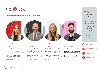

Introducing the hard-working team behind Q Estate Agents.





### Jemima Horsfall Lettings Manager

Jemima moved from London to Brighton in 2016 to follow her passion for property. Since joining Q Estate Agents she has achieved her letting and property management qualifications and was promoted to Lettings Manager in 2019. Jemima has excellent people skills and has quickly established herself as the perfect link between landlords and tenants.

ESTATE AGENTS | LETTINGS

### Ben Lowe Senior Negotiator

Ben joined Q in early 2019 and quickly become an integral member of the team, his unwavering positivity has made him a huge hit with the rest of the team and also with our landlords and the public. Ben is often out and about on viewings where his professionalism and knowledge really sets him apart. Ben has recently achieved his Propertymark Level 3 Award in residential lettings.

### Misty Hilliard Negotiator

Misty joined Q in the summer of 2020. Misty has recently completed her apprenticeship in digital marketing and is now applying these skills in her negotiator role. If you really want your property to stand out on the internet, Misty is the one for you. Born and bred in Brighton, Misty is ambitious to make it in the property industry and she is certainly tipped for the top.

### Alistair Lennox Property Manager

Alistair became a member of the Q team in 2021 and is our Property Manager. Alistair has more than five years experience of the property industry. Well organised, efficient and very approachable Alistair is the perfect person to look after our growing portfolio of managed properties. Alistair is currently studying for his Propertymark Qualification in Residential Lettings.

### Why Q?

- *1. Stand out marketing.*
- *2. Over 30 years experience.*
- *3. No hidden charges on top of maintenance.*
- *4. Virtual reality walk through tours.*
- *5. Trusted local maintenance team.*
- *6. Unrivalled local knowledge.*

qsalesandlettings.co.uk

info@qestateagents.co.uk

@qestateagents

@qestateagents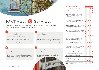# PACKAGES & SER

Let us take the stress out of your property rental. We are d packages to suit the varying needs of our Landlords.

#### Tenant Introduction

2.5 weeks rent + VAT (min £725.00 + VAT)

This service is ideal for those landlords who are able to deal with all matters that may arise during a tenancy. We will find suitable tenants for your property, supply all legal paperwork and oversee the move in. Setting you on your way with confidence.

### $3 \overline{\phantom{a}}$   $4 \overline{\phantom{a}}$

#### Full Management

#### $11% + VAT$

This service entrusts all levels of management to Q Estate Agents. It is a service suited to landlords who do not have spare time to oversee a tenancy at their property. Relax in the knowledge that we will take all the hard-work out of managing your property.

### ESTATE AGENTS | LETTINGS

2

### Rent Collection

#### 7% + VAT

A service for landlords who do not wish to be involved in the monthly process of rent collection, but are able to deal with any tenants issues and maintenance problems. We will deal with any late rents and provide rent statements alongside each rent payment.

#### Premium Management

#### 13% + VAT

This service includes all the benefits of Full Management, but with the added peace of mind of Rent Insurance purchased on your behalf.

|                                  | Free Profes                              |
|----------------------------------|------------------------------------------|
|                                  | Free Virtua                              |
|                                  | Supply and                               |
|                                  | Prepare onl<br>property or<br>Location p |
|                                  | Arrange an<br>appointmer                 |
| <b>SVICES</b>                    | Ensure ten<br>put down a                 |
|                                  | Out of hou<br>(inc. credit)              |
| elighted to offer four different | Preparation<br>Agreement                 |
|                                  | Collect the<br>rent and tra              |
|                                  | Provide you<br>all tenancy               |

| Free Professional Photography and Floor-plan.                                                                                                     |  |                   |  |
|---------------------------------------------------------------------------------------------------------------------------------------------------|--|-------------------|--|
| Free Virtual Reality Property Tour.                                                                                                               |  |                   |  |
| Supply and erect a TO LET board.                                                                                                                  |  | $\sqrt{\sqrt{2}}$ |  |
| Prepare online marketing particulars and list<br>property on Rightmove, Zoopla and Prime<br>Location portals.                                     |  |                   |  |
| Arrange and accompany all viewings by<br>appointment and secure suitable tenants.                                                                 |  |                   |  |
| Ensure tenants sign reservation agreement and<br>put down a holding payment.                                                                      |  |                   |  |
| Out of house professional referencing<br>(inc. credit check and Right to Rent checks).                                                            |  |                   |  |
| Preparation of our Assured Short-hold Tenancy<br>Agreement to be e-signed by both parties.                                                        |  |                   |  |
| Collect the damage deposit and first month's<br>rent and transfer it to your chosen account.                                                      |  |                   |  |
| Provide your contact details to new tenants and<br>all tenancy paperwork to both you and tenant.                                                  |  |                   |  |
| Provide your bank details to new tenants.                                                                                                         |  |                   |  |
| Provide tenants with all paperwork as required<br>by law to accompany any new agreement, so as<br>not to invalidate any future section 21 notice. |  |                   |  |
| Read utility meters just before move in and<br>change over names on utilities (carried out<br>with the instruction of an inventory).              |  |                   |  |
| Carry out alarms check prior to move in.                                                                                                          |  |                   |  |
| Collect rent and transfer to the landlord,<br>providing a monthly rental statement by e-mail.                                                     |  |                   |  |
| Chase any unpaid monies owed to the landlord<br>and serve legal notices on you tenants.                                                           |  |                   |  |
| Hold deposit as stakeholders in conjunction the<br>'Tenancy Deposit Scheme'.                                                                      |  |                   |  |
| Supply Emergency Maintenance Contacts.                                                                                                            |  |                   |  |
| Arrange maintenance and quotes if required.                                                                                                       |  |                   |  |
| Quarterly Inspections of your property.                                                                                                           |  |                   |  |
| Set up all tenants on our maintenance<br>reporting app.                                                                                           |  |                   |  |
| Inform on legislation changes and advise on<br>maximising your investment.                                                                        |  |                   |  |
| Supply annual rent income statements and tax<br>summary when requested.                                                                           |  |                   |  |
|                                                                                                                                                   |  |                   |  |

2 3 4

What's included?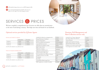*All Landlords charges shown are inc. of VAT charged at 20%.*

 *As a result of the Immigration Act 2015, all services are subject to a £12 right to rent check charge per tenant.*



# SERVICES & PRICES

We have compiled a comprehensive list of services we offer, that are essential prior to the start of and during a tenancy. This helps save time and hassle for our landlords.

### Optional services provided by Q Estate Agents

#### Inventory and schedule of conditions:

|            | Unfurnished | Furnished |
|------------|-------------|-----------|
| 1 bedroom  | £66.00      | £96.00    |
| 2 bedrooms | £78.00      | £108.00   |
| 3 bedrooms | £90.00      | £120.00   |

*(£12.00 will be added for every additional room)*

#### Check out of property (including report):

|            | Unfurnished | Furnished |
|------------|-------------|-----------|
| 1 bedroom  | £84.00      | £102.00   |
| 2 bedrooms | £96.00      | £114.00   |
| 3 bedrooms | £108.00     | £126.00   |

*(£12.00 will be added for every additional room)*

| Landlord Gas Safety (inc. arrangement fee)                                  | £77.00                                      |
|-----------------------------------------------------------------------------|---------------------------------------------|
| <b>Energy Performance Certificates</b>                                      | £72.00                                      |
| <b>Electrical Safety Report</b>                                             | £120.00                                     |
| PAT Test & EICR visual inspection                                           | £55.00 minimum                              |
| Legionella Risk Assessment                                                  | $\text{\pounds}30.00 - \text{\pounds}54.00$ |
| Supply Electrical Appliance Folder                                          | £60.00                                      |
| Right To Rent Checks                                                        | £12.00 per tenant                           |
| Staff visits to property<br>(additional to standard service)                | $\text{\pounds}24.00 \text{ ph}$            |
| Additional work through sale of<br>property through another agent           | $\text{\pounds}36.00 \text{ ph}$            |
| Overseeing Improvement Works to Property<br>(Charged on invoices over £500) | $7.5\%$ of cost of<br>works                 |
| Photography                                                                 | Free                                        |
| Floor Plans                                                                 | Free                                        |
| Virtual Reality Walk-through Tours                                          | Free                                        |
| HMO Application on behalf of Landlord                                       | £120.00                                     |

### Premium, Full Management and Rent Collection services only

| Letting Fee (inc. Tenancy Agreement,<br>Pre-tenancy Alarms Test, Check in) | £90.00    |
|----------------------------------------------------------------------------|-----------|
| Tenancy Renewal                                                            | £108.00   |
| Supply annual summary of income                                            | Free      |
| Manage Deposit Dispute with TDS                                            | £60.00    |
| Change over of a tenant on joint tenancy                                   | £240.00   |
| Court Appearance by member of staff                                        | £36.00 ph |

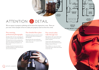





1ST FLOOR<br>APPROX. FLOOR<br>AREA 346 SQ.FT.  $(32.2 SQ.M.)$ 

**BEDROON** 

GROUND FLOOR<br>APPROX. FLOOR<br>AREA 453 SQ.FT.<br>(42.0 SQ.M.)

OR AREA 1289 SQ.FT. (119.7.SQ.

# ATTENTION & DETAIL

We are experts in property marketing and we know first impressions count. These are just some of the examples of how we make your property stand out from the crowd.

### Free stunning professional photography

Spending a little extra time on preparing your home for viewings can make a huge difference.

We'll spend the time with you, giving advice about how to dress your property prior to the photo and maximising your property to its full potential.

Creating a buzz about the property when it is first listed, will help you achieve the best price and secure the best tenants.

### Free detailed floor plans

Detailed floor-plans give prospective tenants useful information about your property at their fingertips.

Research shows that some professional tenants will not even view a property listed without a floor-plan.

### Free virtual reality walk-through tour

High definition 360˚ virtual walk-through tours that can be viewed by any tenant, anytime, anywhere!

A great tool for really showing off your property and securing professional tenants looking to relocate to the area.

This tool allows us to carry out a virtual viewing with tenants, without them having to leave their sofa.



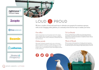rightmove<sup>2</sup> find your happy

### **Zoopla**









# LOUD & PROUD

We have a number of tried and tested ways to advertise your property for maximum exposure, with an ever-changing online platform, we constantly review the best ways to market your home.

### Our office

Verbal communication is one of our greatest assets in the company. Tenants regularly walk in and register with us, keeping our applicant database topped up with a variety of enthusiastic, motivated renters all from the local area.

### Online portals

Most people searching for properties tend to start on the internet. All of our properties are listed on our stylish and easy to use website. We also use the two most popular property portals, Rightmove and Zoopla in order to reach prospective tenants within Brighton & Hove, London and beyond.

### To Let Boards

Our eye catching boards are a brilliant way of attracting attention to your property. It can pique the interest of people passing by and may lead to word of mouth recommendations to neighbours, family or friends looking to rent in the area.

### Word of Mouth

We are an agency with a long history of working with and supporting the local community. We also run a successful sales business and as such we often know great tenants looking for high quality property in the area.

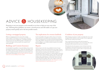# ADVICE & HOUSEKEEPING

Preparing to rent your property can be stressful, we are here to help you every step of the way. Following these guidelines can ensure a smooth process and will enable us to get your property rented quickly and to the best possible tenants.

### Letting a mortgaged property

With any mortgaged property the consent of the mortgage lender is required. If the property is let without prior consent you may be in breach of your mortgage terms. Leaseholders should also obtain permission from their Head leaseholder or Freeholder prior to the let and supply us with any specific terms required in your tenancy agreement.

### Buildings and Contents Insurance

ESTATE AGENTS | LETTINGS

It is the landlords' responsibility to insure the building and any contents the landlord has provided the tenants. Within this responsibility comes the compliance with any security requirements set out by the insurance company. Landlords should also ensure that any insurance allows cover for the rental of their property. Q Estate Agents will not let a property without the necessary buildings insurance in place.

### Tax implications for overseas landlords

It is the responsibility of the agent to deduct a basic rate of tax from all rents received for any landlord whose usual residence is outside of the U.K. Tax deductions are to be paid to the Financial Intermediaries Claims Office (FICO). Exemption from this basic tax deduction can be granted, by filling in a non resident Landlord exemption form available from the HMRC website.

#### Repairs

Q Estate Agents work with a long-established network of trusted maintenance contractors that can deal with any area of repair. They are all local businesses and can be instructed on your behalf. We operate an online maintenance reporting system which allows occupiers to accurately report repairs, for contractors to submit quotations and recieve work instructions and for landlords to approve works. This system allows tenants to report maintenance 24/7 along with photos and videos. The troubleshooting guides help filter out unnecessary call outs and assist tenants with proactive guidance. We are also as happy to instruct any contractors that you know and trust and *unlike most agencies, we do not charge an administration fee on top of maintenance work*.

### Condition of your property

When bringing your property to market, you should make sure it is clean throughout and de-cluttered as much as possible. This can significantly reduce the time to find your new tenants.

Once a tenant has been found, we advise that the property is professionally cleaned and marked as such on the inventory. This ensures the property will be returned in the same state of cleanliness.

If furnished, then dress the property to attract the kind of tenant you are hoping for, to show them how the house can work for them. Our experienced team are always on hand to advise on improvements that could increase the property's yield.



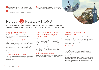

 *All these safety regulations below must be adhered to before any tenant found by Q Estate Agents will be allowed to move in.* 

 *Failure to comply with any of the below requirement may result in severe financial penalty, and in some cases, prison terms.*

 *The Housing health and Safety Rating Systems requires all property to be clear of potential risks and hazards to health and safety.*

### RULES & REGULATIONS

At Q Estate Agents we strive to provide good quality accommodation with the highest level of safety. We take all safety regulation extremely seriously. It is vital a landlord is aware of their legal obligations.

### Energy performance certificate (EPC)

We will need to obtain an EPC if one does not already exist. It is illegal to market a property without one or to rent a property rated E or below.

### Gas safety regulations (1998)

All gas appliances, flues and installation pipework in rental property must be properly maintained with an up to date gas safety certificate in place when your tenants first move in. This needs renewing annually thereafter. It is the landlord's responsibility to ensure a 'Gas Safe' registered plumber carries out these checks. Q Estate Agents will organise this on your behalf when required.

We also advise you service your boiler once every two years. This can prolong the lifespan of the boiler considerably.

### Blind safety regulations (2014)

Blinds in all rental properties must now be child safe. This means they are safe by design, have built in safety systems or be supplied with a separate safety system.

### Electrical Safety Standards in the Private Rented Sector (England) Regulations 2020

The landlord of the property has a legal responsibility to make sure that all electrical appliances and wiring are safe to use. The only way to be sure of this, is to instruct a qualified electrician recognised by the NICEIC who will carry out a safety check on the wiring, this is valid for 5 years.

A PAT test on all electrical equipment, provided by the landlord will need to be carried out at the beginning of every tenancy.

A property file detailing the user guides for all electrical appliances, must be supplied in the property to ensure a tenant can use the equipment safely.

### Legionella risk assessments

All residential rental property is required to have a risk assessment carried out to assess the likely risks for Legionella in the water systems. We carry this out every two years.

### Fire safety regulations (1988) as amended (1993)

Any furniture left in the property by the landlord as part of the let must adhere to this legislation. The landlord must ensure all upholstered furniture including bed bases, mattresses, sofas, cushions and covers have a label on them confirming that they comply with the required safety standard. This ruling also includes supply, which involves hiring of furniture as part of the let.

### Smoke and carbon monoxide alarms regulations (2015)

All rented properties must be fitted with a working smoke alarm on each storey that has living accommodation. A working carbon monoxide alarm must be placed in any room used which contains a solid fuel burning combustion appliance.

The landlord must ensure that the alarms are in proper working order on the day the tenancy starts. New homes built since June 1992 are required to have mains operated and interlinked smoke alarms fitted on every floor

If supplying a working fireplace it is the landlords responsibility to keep this swept and clear, at least every two years.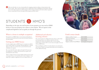*Please note that there are very serious penalties for managing a property without a relevant and up to date Licence in place. Those who do not obtain a licence could face fines of up to £20,000 and risk having to repay all rent received while unregistered. Q Estate Agents will not manage a property of this kind without a copy of the Licence or proof that the owner has registered their property with the council.* 

# STUDENTS & HMO'S

Depending on the type, size and location of your property you may need an HMO license to rent your property out to three or more sharers. We are experts in this complicated legislation and can guide you through the process.

### What is a house in multiple occupation?

Your property is an HMO if three or more tenants are living there as more than one household and the tenants share the kitchen, bathroom and toilet facilities.

### Getting your HMO licence

ESTATE AGENTS | LETTINGS

In order to legally acquire an HMO license for a property you will first need to obtain change of use through a Planning application. Q Estate Agents can advise you on the best way to proceed and all necessary work likely to be required.

The council staff will be able to talk you through all of the processes from application to completion. The documents you require can be downloaded from their website.

 There is a charge to become a Licence holder and these Licences are for each property that you own that falls under the above definition. If you require Q to complete an application for you we charge £120 inc vat.

### Additional and selective licensing schemes

The council introduced an Additional licensing scheme as well as Selective Licensing Scheme across different wards across the City. Under the new schemes any properties with 3 or more unrelated people sharing a property with 2 or more storeys must apply to the council for an HMO license.

Please visit Brighton and Hove Council's website for more information and to find out whether your property falls within the new boundaries set for this additional licensing.



### Useful contact details

| Brighton and Hove Council         | 01273 290000             |
|-----------------------------------|--------------------------|
| Private Sector Housing            | 01273 293156             |
| <b>BHCC</b> Planning              | 01273 292222             |
| Brighton and Hove Council Website | www.brighton-hove.gov.uk |